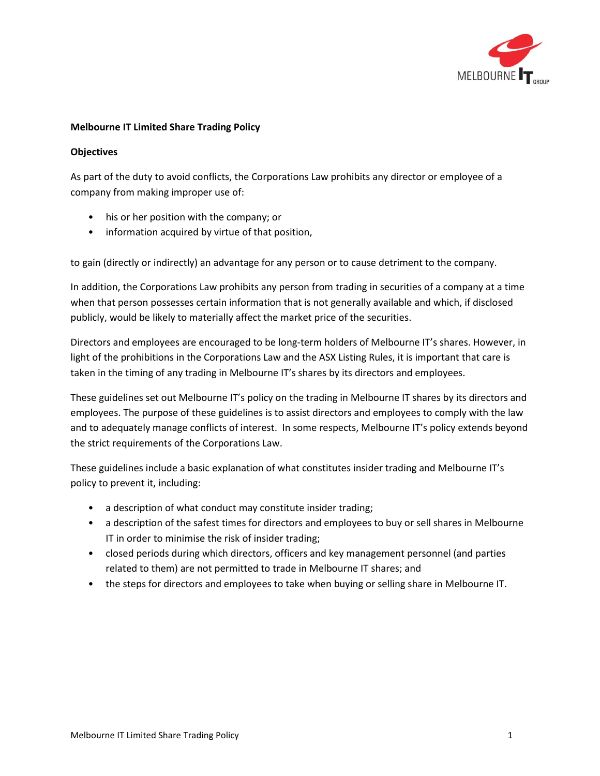

#### **Melbourne IT Limited Share Trading Policy**

#### **Objectives**

As part of the duty to avoid conflicts, the Corporations Law prohibits any director or employee of a company from making improper use of:

- his or her position with the company; or
- information acquired by virtue of that position,

to gain (directly or indirectly) an advantage for any person or to cause detriment to the company.

In addition, the Corporations Law prohibits any person from trading in securities of a company at a time when that person possesses certain information that is not generally available and which, if disclosed publicly, would be likely to materially affect the market price of the securities.

Directors and employees are encouraged to be long-term holders of Melbourne IT's shares. However, in light of the prohibitions in the Corporations Law and the ASX Listing Rules, it is important that care is taken in the timing of any trading in Melbourne IT's shares by its directors and employees.

These guidelines set out Melbourne IT's policy on the trading in Melbourne IT shares by its directors and employees. The purpose of these guidelines is to assist directors and employees to comply with the law and to adequately manage conflicts of interest. In some respects, Melbourne IT's policy extends beyond the strict requirements of the Corporations Law.

These guidelines include a basic explanation of what constitutes insider trading and Melbourne IT's policy to prevent it, including:

- a description of what conduct may constitute insider trading;
- a description of the safest times for directors and employees to buy or sell shares in Melbourne IT in order to minimise the risk of insider trading;
- closed periods during which directors, officers and key management personnel (and parties related to them) are not permitted to trade in Melbourne IT shares; and
- the steps for directors and employees to take when buying or selling share in Melbourne IT.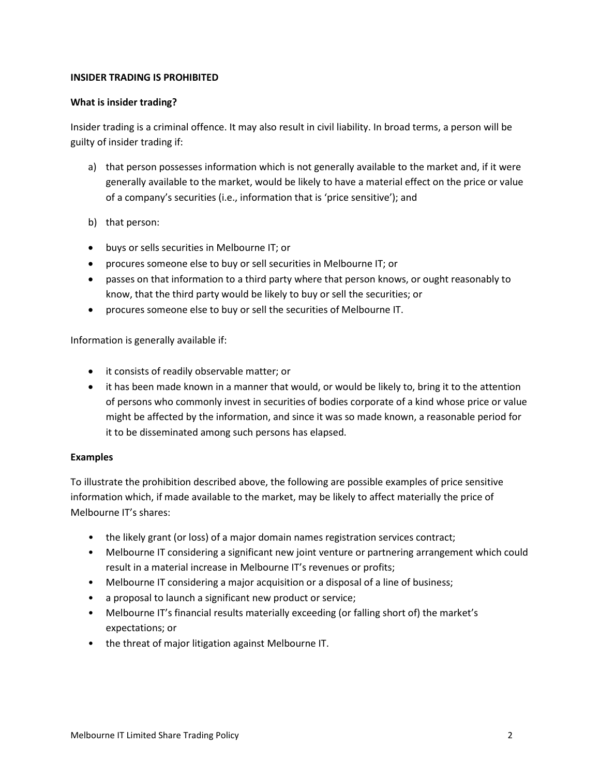# **INSIDER TRADING IS PROHIBITED**

## **What is insider trading?**

Insider trading is a criminal offence. It may also result in civil liability. In broad terms, a person will be guilty of insider trading if:

- a) that person possesses information which is not generally available to the market and, if it were generally available to the market, would be likely to have a material effect on the price or value of a company's securities (i.e., information that is 'price sensitive'); and
- b) that person:
- buys or sells securities in Melbourne IT; or
- procures someone else to buy or sell securities in Melbourne IT; or
- passes on that information to a third party where that person knows, or ought reasonably to know, that the third party would be likely to buy or sell the securities; or
- procures someone else to buy or sell the securities of Melbourne IT.

Information is generally available if:

- it consists of readily observable matter; or
- it has been made known in a manner that would, or would be likely to, bring it to the attention of persons who commonly invest in securities of bodies corporate of a kind whose price or value might be affected by the information, and since it was so made known, a reasonable period for it to be disseminated among such persons has elapsed.

#### **Examples**

To illustrate the prohibition described above, the following are possible examples of price sensitive information which, if made available to the market, may be likely to affect materially the price of Melbourne IT's shares:

- the likely grant (or loss) of a major domain names registration services contract;
- Melbourne IT considering a significant new joint venture or partnering arrangement which could result in a material increase in Melbourne IT's revenues or profits;
- Melbourne IT considering a major acquisition or a disposal of a line of business;
- a proposal to launch a significant new product or service;
- Melbourne IT's financial results materially exceeding (or falling short of) the market's expectations; or
- the threat of major litigation against Melbourne IT.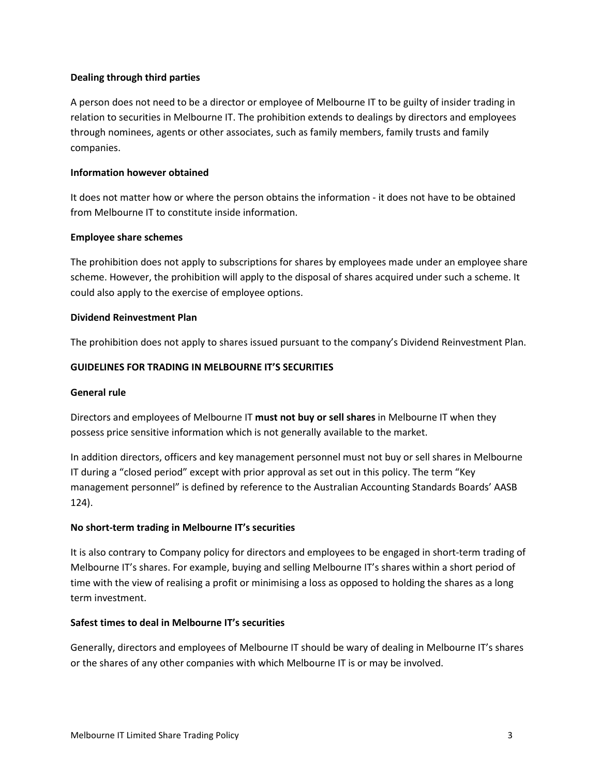# **Dealing through third parties**

A person does not need to be a director or employee of Melbourne IT to be guilty of insider trading in relation to securities in Melbourne IT. The prohibition extends to dealings by directors and employees through nominees, agents or other associates, such as family members, family trusts and family companies.

#### **Information however obtained**

It does not matter how or where the person obtains the information - it does not have to be obtained from Melbourne IT to constitute inside information.

#### **Employee share schemes**

The prohibition does not apply to subscriptions for shares by employees made under an employee share scheme. However, the prohibition will apply to the disposal of shares acquired under such a scheme. It could also apply to the exercise of employee options.

## **Dividend Reinvestment Plan**

The prohibition does not apply to shares issued pursuant to the company's Dividend Reinvestment Plan.

# **GUIDELINES FOR TRADING IN MELBOURNE IT'S SECURITIES**

#### **General rule**

Directors and employees of Melbourne IT **must not buy or sell shares** in Melbourne IT when they possess price sensitive information which is not generally available to the market.

In addition directors, officers and key management personnel must not buy or sell shares in Melbourne IT during a "closed period" except with prior approval as set out in this policy. The term "Key management personnel" is defined by reference to the Australian Accounting Standards Boards' AASB 124).

# **No short-term trading in Melbourne IT's securities**

It is also contrary to Company policy for directors and employees to be engaged in short-term trading of Melbourne IT's shares. For example, buying and selling Melbourne IT's shares within a short period of time with the view of realising a profit or minimising a loss as opposed to holding the shares as a long term investment.

# **Safest times to deal in Melbourne IT's securities**

Generally, directors and employees of Melbourne IT should be wary of dealing in Melbourne IT's shares or the shares of any other companies with which Melbourne IT is or may be involved.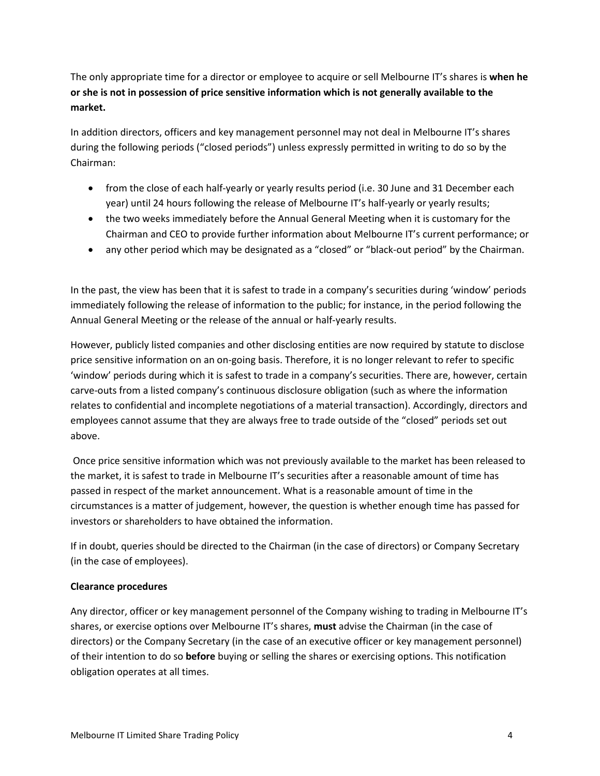The only appropriate time for a director or employee to acquire or sell Melbourne IT's shares is **when he or she is not in possession of price sensitive information which is not generally available to the market.** 

In addition directors, officers and key management personnel may not deal in Melbourne IT's shares during the following periods ("closed periods") unless expressly permitted in writing to do so by the Chairman:

- from the close of each half-yearly or yearly results period (i.e. 30 June and 31 December each year) until 24 hours following the release of Melbourne IT's half-yearly or yearly results;
- the two weeks immediately before the Annual General Meeting when it is customary for the Chairman and CEO to provide further information about Melbourne IT's current performance; or
- any other period which may be designated as a "closed" or "black-out period" by the Chairman.

In the past, the view has been that it is safest to trade in a company's securities during 'window' periods immediately following the release of information to the public; for instance, in the period following the Annual General Meeting or the release of the annual or half-yearly results.

However, publicly listed companies and other disclosing entities are now required by statute to disclose price sensitive information on an on-going basis. Therefore, it is no longer relevant to refer to specific 'window' periods during which it is safest to trade in a company's securities. There are, however, certain carve-outs from a listed company's continuous disclosure obligation (such as where the information relates to confidential and incomplete negotiations of a material transaction). Accordingly, directors and employees cannot assume that they are always free to trade outside of the "closed" periods set out above.

Once price sensitive information which was not previously available to the market has been released to the market, it is safest to trade in Melbourne IT's securities after a reasonable amount of time has passed in respect of the market announcement. What is a reasonable amount of time in the circumstances is a matter of judgement, however, the question is whether enough time has passed for investors or shareholders to have obtained the information.

If in doubt, queries should be directed to the Chairman (in the case of directors) or Company Secretary (in the case of employees).

# **Clearance procedures**

Any director, officer or key management personnel of the Company wishing to trading in Melbourne IT's shares, or exercise options over Melbourne IT's shares, **must** advise the Chairman (in the case of directors) or the Company Secretary (in the case of an executive officer or key management personnel) of their intention to do so **before** buying or selling the shares or exercising options. This notification obligation operates at all times.